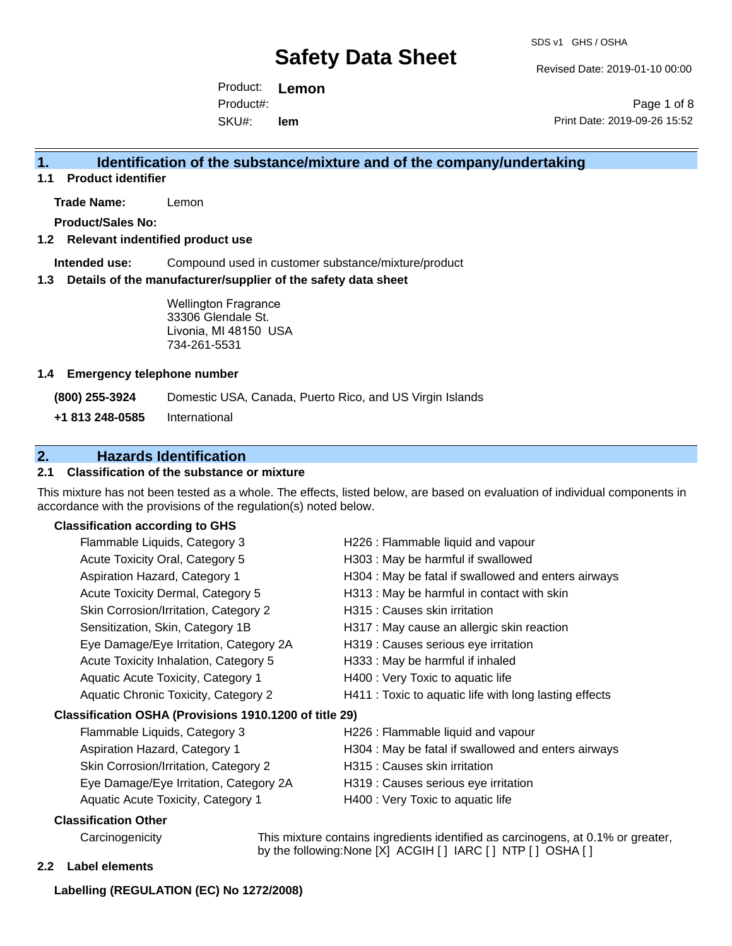Revised Date: 2019-01-10 00:00

Product: **Lemon**  SKU#: Product#: **lem**

Page 1 of 8 Print Date: 2019-09-26 15:52

# **1. Identification of the substance/mixture and of the company/undertaking**

**1.1 Product identifier**

**Trade Name:** Lemon

**Product/Sales No:**

### **1.2 Relevant indentified product use**

**Intended use:** Compound used in customer substance/mixture/product

#### **1.3 Details of the manufacturer/supplier of the safety data sheet**

Wellington Fragrance 33306 Glendale St. Livonia, MI 48150 USA 734-261-5531

#### **1.4 Emergency telephone number**

**(800) 255-3924** Domestic USA, Canada, Puerto Rico, and US Virgin Islands

**+1 813 248-0585** International

# **2. Hazards Identification**

### **2.1 Classification of the substance or mixture**

This mixture has not been tested as a whole. The effects, listed below, are based on evaluation of individual components in accordance with the provisions of the regulation(s) noted below.

### **Classification according to GHS**

| Flammable Liquids, Category 3                          | H226 : Flammable liquid and vapour                                             |
|--------------------------------------------------------|--------------------------------------------------------------------------------|
| Acute Toxicity Oral, Category 5                        | H303 : May be harmful if swallowed                                             |
| Aspiration Hazard, Category 1                          | H304 : May be fatal if swallowed and enters airways                            |
| Acute Toxicity Dermal, Category 5                      | H313 : May be harmful in contact with skin                                     |
| Skin Corrosion/Irritation, Category 2                  | H315 : Causes skin irritation                                                  |
| Sensitization, Skin, Category 1B                       | H317 : May cause an allergic skin reaction                                     |
| Eye Damage/Eye Irritation, Category 2A                 | H319 : Causes serious eye irritation                                           |
| Acute Toxicity Inhalation, Category 5                  | H333: May be harmful if inhaled                                                |
| Aquatic Acute Toxicity, Category 1                     | H400 : Very Toxic to aquatic life                                              |
| Aquatic Chronic Toxicity, Category 2                   | H411 : Toxic to aquatic life with long lasting effects                         |
| Classification OSHA (Provisions 1910.1200 of title 29) |                                                                                |
| Flammable Liquids, Category 3                          | H226 : Flammable liquid and vapour                                             |
| Aspiration Hazard, Category 1                          | H304 : May be fatal if swallowed and enters airways                            |
| Skin Corrosion/Irritation, Category 2                  | H315 : Causes skin irritation                                                  |
| Eye Damage/Eye Irritation, Category 2A                 | H319 : Causes serious eye irritation                                           |
| Aquatic Acute Toxicity, Category 1                     | H400 : Very Toxic to aquatic life                                              |
| Classification Other                                   |                                                                                |
| Carabananishi                                          | This minimum southing incredients identified as associations of 0.40/ as exam- |

Carcinogenicity This mixture contains ingredients identified as carcinogens, at 0.1% or greater, by the following:None [X] ACGIH [] IARC [] NTP [] OSHA []

#### **2.2 Label elements**

#### **Labelling (REGULATION (EC) No 1272/2008)**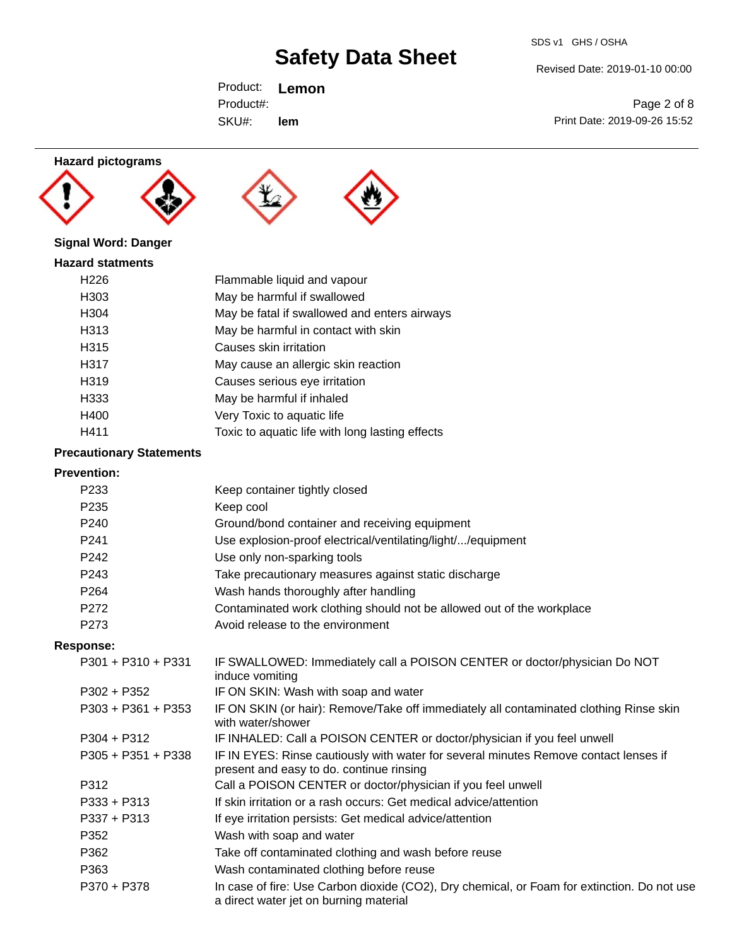#### SDS v1 GHS / OSHA

# **Safety Data Sheet**

Revised Date: 2019-01-10 00:00

Page 2 of 8 Print Date: 2019-09-26 15:52

Product: **Lemon**  SKU#: Product#: **lem**

# **Hazard pictograms**







# **Signal Word: Danger**

| <b>Hazard statments</b> |                                                 |
|-------------------------|-------------------------------------------------|
| H <sub>226</sub>        | Flammable liquid and vapour                     |
| H303                    | May be harmful if swallowed                     |
| H304                    | May be fatal if swallowed and enters airways    |
| H313                    | May be harmful in contact with skin             |
| H315                    | Causes skin irritation                          |
| H317                    | May cause an allergic skin reaction             |
| H319                    | Causes serious eye irritation                   |
| H333                    | May be harmful if inhaled                       |
| H400                    | Very Toxic to aquatic life                      |
| H411                    | Toxic to aquatic life with long lasting effects |

# **Precautionary Statements**

# **Prevention:**

| P233 | Keep container tightly closed                                         |
|------|-----------------------------------------------------------------------|
| P235 | Keep cool                                                             |
| P240 | Ground/bond container and receiving equipment                         |
| P241 | Use explosion-proof electrical/ventilating/light//equipment           |
| P242 | Use only non-sparking tools                                           |
| P243 | Take precautionary measures against static discharge                  |
| P264 | Wash hands thoroughly after handling                                  |
| P272 | Contaminated work clothing should not be allowed out of the workplace |
| P273 | Avoid release to the environment                                      |
|      |                                                                       |

### **Response:**

| P301 + P310 + P331   | IF SWALLOWED: Immediately call a POISON CENTER or doctor/physician Do NOT<br>induce vomiting                                          |
|----------------------|---------------------------------------------------------------------------------------------------------------------------------------|
| $P302 + P352$        | IF ON SKIN: Wash with soap and water                                                                                                  |
| $P303 + P361 + P353$ | IF ON SKIN (or hair): Remove/Take off immediately all contaminated clothing Rinse skin<br>with water/shower                           |
| $P304 + P312$        | IF INHALED: Call a POISON CENTER or doctor/physician if you feel unwell                                                               |
| $P305 + P351 + P338$ | IF IN EYES: Rinse cautiously with water for several minutes Remove contact lenses if<br>present and easy to do. continue rinsing      |
| P312                 | Call a POISON CENTER or doctor/physician if you feel unwell                                                                           |
| $P333 + P313$        | If skin irritation or a rash occurs: Get medical advice/attention                                                                     |
| $P337 + P313$        | If eye irritation persists: Get medical advice/attention                                                                              |
| P352                 | Wash with soap and water                                                                                                              |
| P362                 | Take off contaminated clothing and wash before reuse                                                                                  |
| P363                 | Wash contaminated clothing before reuse                                                                                               |
| P370 + P378          | In case of fire: Use Carbon dioxide (CO2), Dry chemical, or Foam for extinction. Do not use<br>a direct water jet on burning material |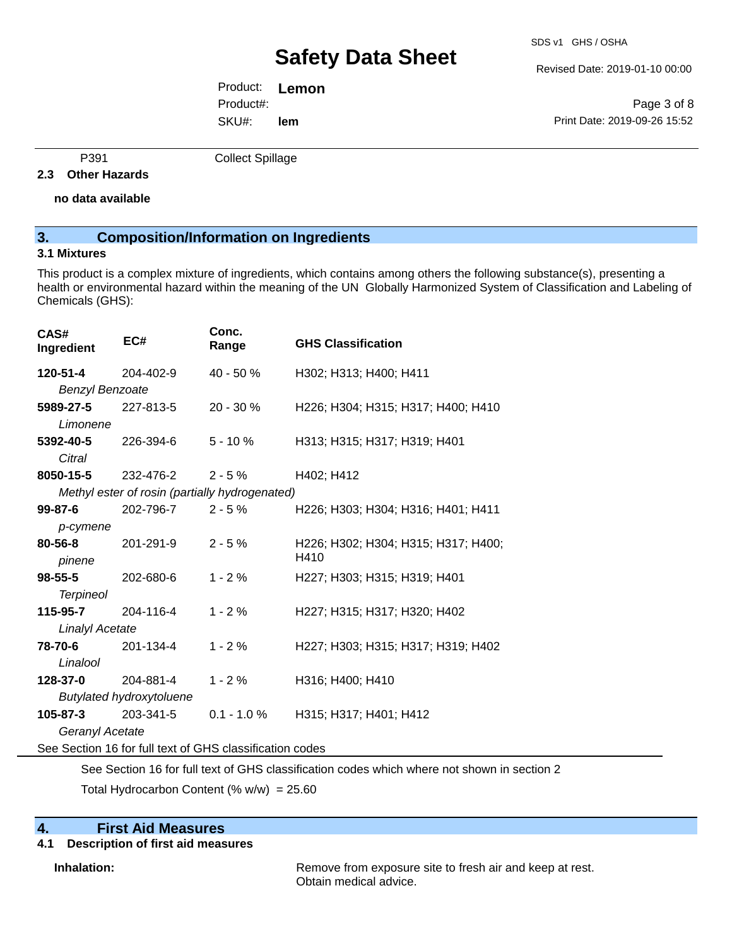Revised Date: 2019-01-10 00:00

Product: **Lemon**  SKU#: Product#: **lem**

Page 3 of 8 Print Date: 2019-09-26 15:52

P391 Collect Spillage

### **2.3 Other Hazards**

**no data available**

# **3. Composition/Information on Ingredients**

### **3.1 Mixtures**

This product is a complex mixture of ingredients, which contains among others the following substance(s), presenting a health or environmental hazard within the meaning of the UN Globally Harmonized System of Classification and Labeling of Chemicals (GHS):

| CAS#<br>Ingredient                                       | EC#                                            | Conc.<br>Range | <b>GHS Classification</b>           |  |  |
|----------------------------------------------------------|------------------------------------------------|----------------|-------------------------------------|--|--|
| 120-51-4                                                 | 204-402-9                                      | 40 - 50 %      | H302; H313; H400; H411              |  |  |
| <b>Benzyl Benzoate</b>                                   |                                                |                |                                     |  |  |
| 5989-27-5                                                | 227-813-5                                      | $20 - 30 \%$   | H226; H304; H315; H317; H400; H410  |  |  |
| Limonene                                                 |                                                |                |                                     |  |  |
| 5392-40-5                                                | 226-394-6                                      | $5 - 10 \%$    | H313; H315; H317; H319; H401        |  |  |
| Citral                                                   |                                                |                |                                     |  |  |
| <b>8050-15-5</b> 232-476-2                               |                                                | $2 - 5 \%$     | H402; H412                          |  |  |
|                                                          | Methyl ester of rosin (partially hydrogenated) |                |                                     |  |  |
|                                                          | <b>99-87-6</b> 202-796-7                       | $2 - 5\%$      | H226; H303; H304; H316; H401; H411  |  |  |
| p-cymene                                                 |                                                |                |                                     |  |  |
| 80-56-8                                                  | 201-291-9                                      | $2 - 5%$       | H226; H302; H304; H315; H317; H400; |  |  |
| pinene                                                   |                                                |                | H410                                |  |  |
| 98-55-5                                                  | 202-680-6                                      | $1 - 2%$       | H227; H303; H315; H319; H401        |  |  |
| <b>Terpineol</b>                                         |                                                |                |                                     |  |  |
| 115-95-7                                                 | 204-116-4                                      | $1 - 2%$       | H227; H315; H317; H320; H402        |  |  |
| Linalyl Acetate                                          |                                                |                |                                     |  |  |
| <b>78-70-6</b> 201-134-4                                 |                                                | $1 - 2%$       | H227; H303; H315; H317; H319; H402  |  |  |
| Linalool                                                 |                                                |                |                                     |  |  |
| <b>128-37-0</b> 204-881-4                                |                                                | $1 - 2%$       | H316; H400; H410                    |  |  |
|                                                          | <b>Butylated hydroxytoluene</b>                |                |                                     |  |  |
| 105-87-3                                                 | 203-341-5                                      | $0.1 - 1.0 \%$ | H315; H317; H401; H412              |  |  |
| Geranyl Acetate                                          |                                                |                |                                     |  |  |
| See Section 16 for full text of GHS classification codes |                                                |                |                                     |  |  |

See Section 16 for full text of GHS classification codes which where not shown in section 2

Total Hydrocarbon Content (%  $w/w$ ) = 25.60

# **4. First Aid Measures**

# **4.1 Description of first aid measures**

**Inhalation:** Remove from exposure site to fresh air and keep at rest. Obtain medical advice.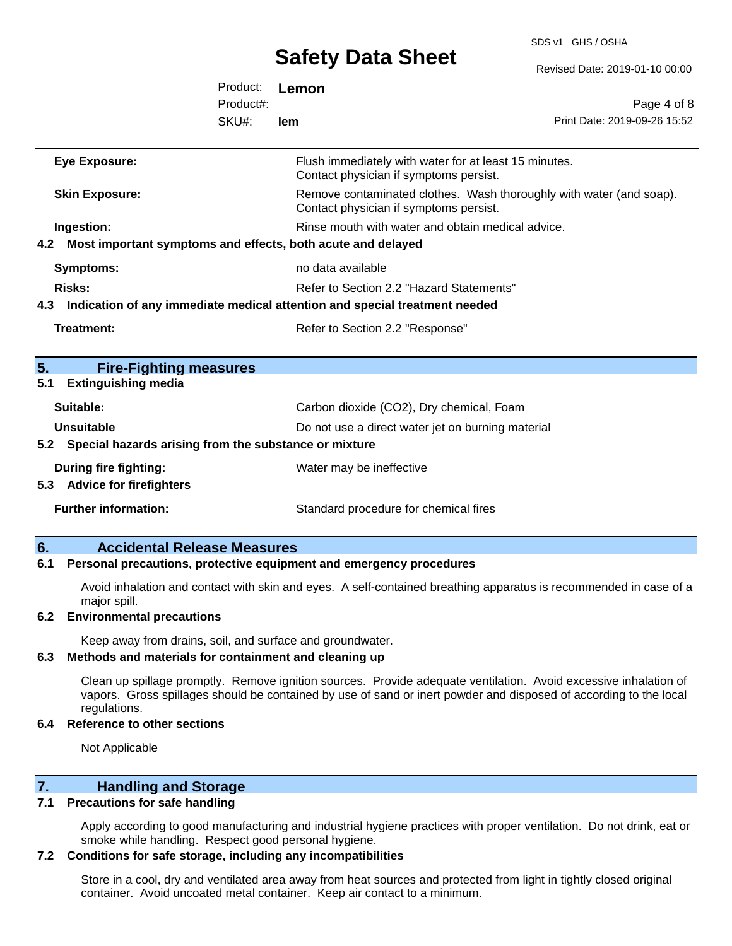# **Safety Data Shoot**

SDS v1 GHS / OSHA

|     |                                                             |           | <b>DAICLY DAIA OIICCL</b>                                                                       | Revised Date: 2019-01-10 00:00                                      |  |
|-----|-------------------------------------------------------------|-----------|-------------------------------------------------------------------------------------------------|---------------------------------------------------------------------|--|
|     |                                                             | Product:  | Lemon                                                                                           |                                                                     |  |
|     |                                                             | Product#: |                                                                                                 | Page 4 of 8                                                         |  |
|     |                                                             | SKU#:     | lem                                                                                             | Print Date: 2019-09-26 15:52                                        |  |
|     | <b>Eye Exposure:</b>                                        |           | Flush immediately with water for at least 15 minutes.<br>Contact physician if symptoms persist. |                                                                     |  |
|     | <b>Skin Exposure:</b>                                       |           | Contact physician if symptoms persist.                                                          | Remove contaminated clothes. Wash thoroughly with water (and soap). |  |
|     | Ingestion:                                                  |           | Rinse mouth with water and obtain medical advice.                                               |                                                                     |  |
| 4.2 | Most important symptoms and effects, both acute and delayed |           |                                                                                                 |                                                                     |  |
|     | <b>Symptoms:</b>                                            |           | no data available                                                                               |                                                                     |  |
|     | Risks:                                                      |           | Refer to Section 2.2 "Hazard Statements"                                                        |                                                                     |  |
| 4.3 |                                                             |           | Indication of any immediate medical attention and special treatment needed                      |                                                                     |  |
|     | <b>Treatment:</b>                                           |           | Refer to Section 2.2 "Response"                                                                 |                                                                     |  |
| 5.  | <b>Fire-Fighting measures</b>                               |           |                                                                                                 |                                                                     |  |
| 5.1 | <b>Extinguishing media</b>                                  |           |                                                                                                 |                                                                     |  |
|     | Suitable:                                                   |           | Carbon dioxide (CO2), Dry chemical, Foam                                                        |                                                                     |  |
|     | Unsuitable                                                  |           | Do not use a direct water jet on burning material                                               |                                                                     |  |
| 5.2 | Special hazards arising from the substance or mixture       |           |                                                                                                 |                                                                     |  |
|     | <b>During fire fighting:</b><br>5.3 Advice for firefighters |           | Water may be ineffective                                                                        |                                                                     |  |
|     | <b>Further information:</b>                                 |           | Standard procedure for chemical fires                                                           |                                                                     |  |
|     |                                                             |           |                                                                                                 |                                                                     |  |

### **6. Accidental Release Measures**

#### **6.1 Personal precautions, protective equipment and emergency procedures**

Avoid inhalation and contact with skin and eyes. A self-contained breathing apparatus is recommended in case of a major spill.

### **6.2 Environmental precautions**

Keep away from drains, soil, and surface and groundwater.

#### **6.3 Methods and materials for containment and cleaning up**

Clean up spillage promptly. Remove ignition sources. Provide adequate ventilation. Avoid excessive inhalation of vapors. Gross spillages should be contained by use of sand or inert powder and disposed of according to the local regulations.

#### **6.4 Reference to other sections**

Not Applicable

# **7. Handling and Storage**

#### **7.1 Precautions for safe handling**

Apply according to good manufacturing and industrial hygiene practices with proper ventilation. Do not drink, eat or smoke while handling. Respect good personal hygiene.

#### **7.2 Conditions for safe storage, including any incompatibilities**

Store in a cool, dry and ventilated area away from heat sources and protected from light in tightly closed original container. Avoid uncoated metal container. Keep air contact to a minimum.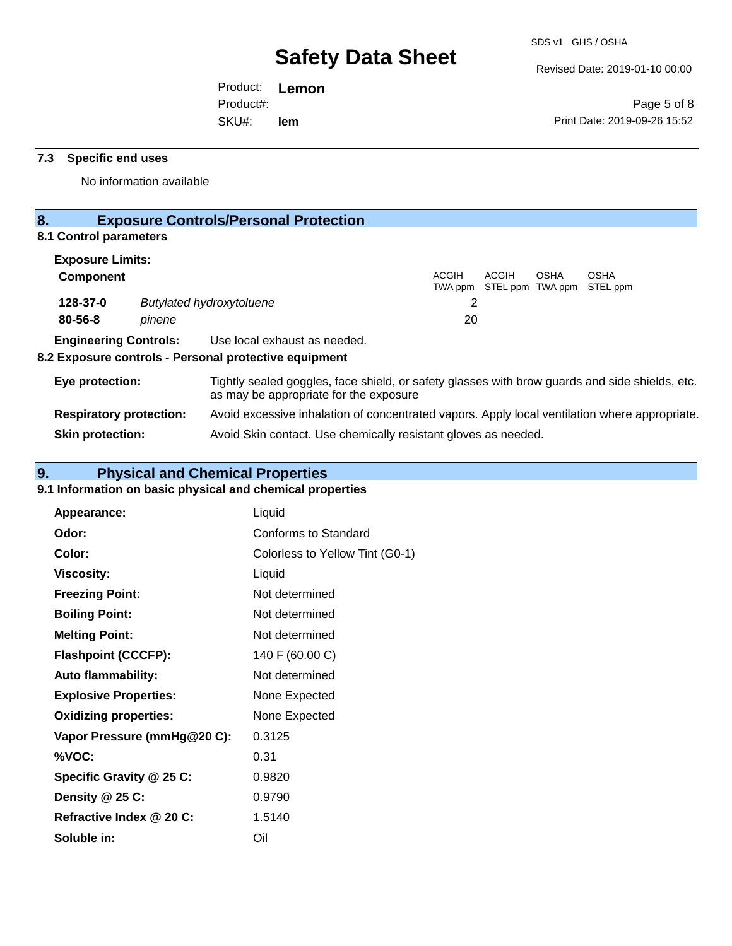Revised Date: 2019-01-10 00:00

Product: **Lemon**  SKU#: Product#: **lem**

Page 5 of 8 Print Date: 2019-09-26 15:52

# **7.3 Specific end uses**

No information available

# **8. Exposure Controls/Personal Protection**

# **8.1 Control parameters**

| <b>Exposure Limits:</b>                                                                                                                                     |        |                                                                                               |              |                                   |      |                         |
|-------------------------------------------------------------------------------------------------------------------------------------------------------------|--------|-----------------------------------------------------------------------------------------------|--------------|-----------------------------------|------|-------------------------|
| <b>Component</b>                                                                                                                                            |        |                                                                                               | <b>ACGIH</b> | ACGIH<br>TWA ppm STEL ppm TWA ppm | OSHA | <b>OSHA</b><br>STEL ppm |
| 128-37-0                                                                                                                                                    |        | <b>Butylated hydroxytoluene</b>                                                               | 2            |                                   |      |                         |
| $80 - 56 - 8$                                                                                                                                               | pinene |                                                                                               | 20           |                                   |      |                         |
| <b>Engineering Controls:</b>                                                                                                                                |        | Use local exhaust as needed.<br>8.2 Exposure controls - Personal protective equipment         |              |                                   |      |                         |
| Tightly sealed goggles, face shield, or safety glasses with brow guards and side shields, etc.<br>Eye protection:<br>as may be appropriate for the exposure |        |                                                                                               |              |                                   |      |                         |
| <b>Respiratory protection:</b>                                                                                                                              |        | Avoid excessive inhalation of concentrated vapors. Apply local ventilation where appropriate. |              |                                   |      |                         |

**Skin protection:** Avoid Skin contact. Use chemically resistant gloves as needed.

# **9. Physical and Chemical Properties**

# **9.1 Information on basic physical and chemical properties**

| Appearance:                  | Liquid                          |
|------------------------------|---------------------------------|
| Odor:                        | Conforms to Standard            |
| Color:                       | Colorless to Yellow Tint (G0-1) |
| <b>Viscosity:</b>            | Liquid                          |
| <b>Freezing Point:</b>       | Not determined                  |
| <b>Boiling Point:</b>        | Not determined                  |
| <b>Melting Point:</b>        | Not determined                  |
| <b>Flashpoint (CCCFP):</b>   | 140 F (60.00 C)                 |
| <b>Auto flammability:</b>    | Not determined                  |
| <b>Explosive Properties:</b> | None Expected                   |
| <b>Oxidizing properties:</b> | None Expected                   |
| Vapor Pressure (mmHg@20 C):  | 0.3125                          |
| %VOC:                        | 0.31                            |
| Specific Gravity @ 25 C:     | 0.9820                          |
| Density $@25C$ :             | 0.9790                          |
| Refractive Index @ 20 C:     | 1.5140                          |
| Soluble in:                  | Oil                             |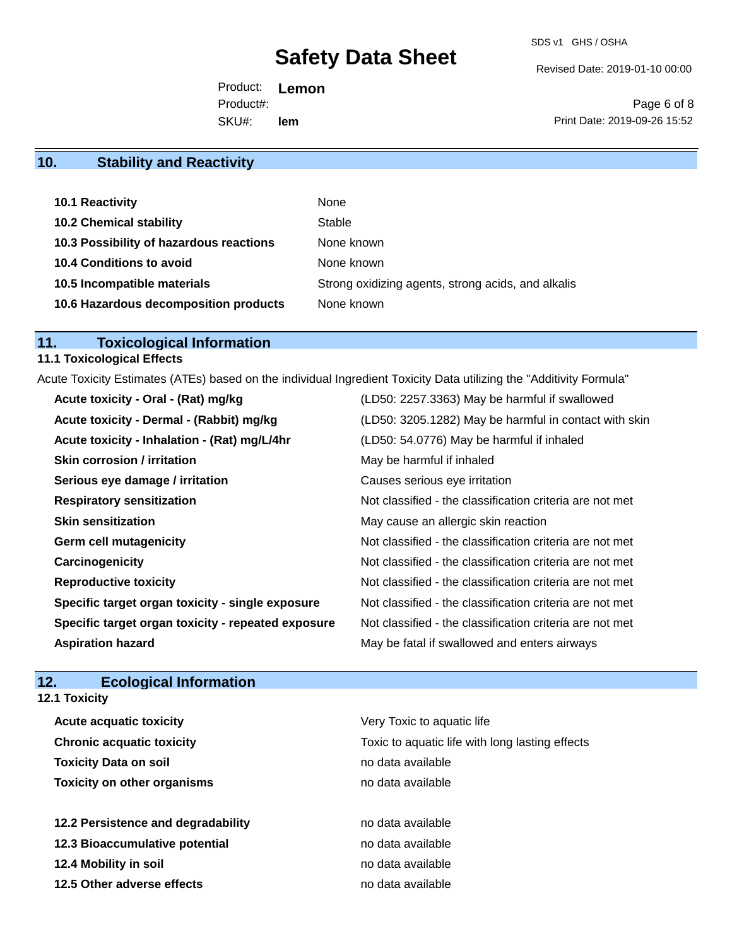Revised Date: 2019-01-10 00:00

Product: **Lemon**  SKU#: Product#: **lem**

Page 6 of 8 Print Date: 2019-09-26 15:52

# **10. Stability and Reactivity**

| 10.1 Reactivity                         | None                                               |
|-----------------------------------------|----------------------------------------------------|
| <b>10.2 Chemical stability</b>          | Stable                                             |
| 10.3 Possibility of hazardous reactions | None known                                         |
| 10.4 Conditions to avoid                | None known                                         |
| 10.5 Incompatible materials             | Strong oxidizing agents, strong acids, and alkalis |
| 10.6 Hazardous decomposition products   | None known                                         |

# **11. Toxicological Information**

# **11.1 Toxicological Effects**

Acute Toxicity Estimates (ATEs) based on the individual Ingredient Toxicity Data utilizing the "Additivity Formula"

| (LD50: 2257.3363) May be harmful if swallowed            |
|----------------------------------------------------------|
| (LD50: 3205.1282) May be harmful in contact with skin    |
| (LD50: 54.0776) May be harmful if inhaled                |
| May be harmful if inhaled                                |
| Causes serious eye irritation                            |
| Not classified - the classification criteria are not met |
| May cause an allergic skin reaction                      |
| Not classified - the classification criteria are not met |
| Not classified - the classification criteria are not met |
| Not classified - the classification criteria are not met |
| Not classified - the classification criteria are not met |
| Not classified - the classification criteria are not met |
| May be fatal if swallowed and enters airways             |
|                                                          |

# **12. Ecological Information 12.1 Toxicity**

| <b>Acute acquatic toxicity</b>     | Very Toxic to aquatic life                      |  |  |
|------------------------------------|-------------------------------------------------|--|--|
| <b>Chronic acquatic toxicity</b>   | Toxic to aquatic life with long lasting effects |  |  |
| <b>Toxicity Data on soil</b>       | no data available                               |  |  |
| <b>Toxicity on other organisms</b> | no data available                               |  |  |
|                                    |                                                 |  |  |
| 12.2 Persistence and degradability | no data available                               |  |  |
| 12.3 Bioaccumulative potential     | no data available                               |  |  |
| 12.4 Mobility in soil              | no data available                               |  |  |
| 12.5 Other adverse effects         | no data available                               |  |  |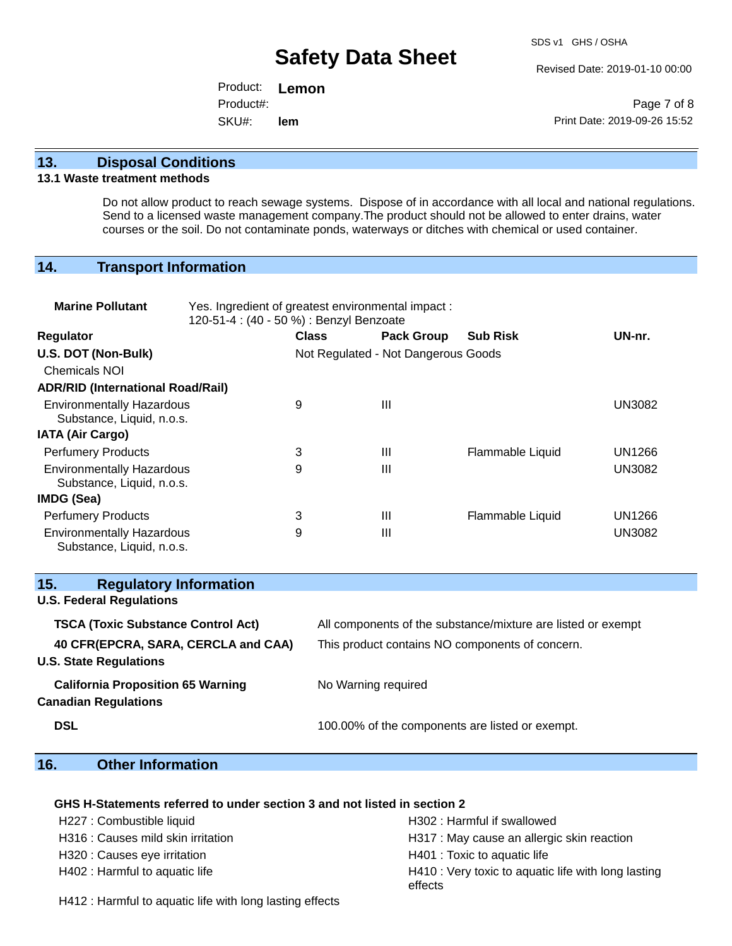Revised Date: 2019-01-10 00:00

Product: **Lemon**  SKU#: Product#: **lem**

Page 7 of 8 Print Date: 2019-09-26 15:52

### **13. Disposal Conditions**

#### **13.1 Waste treatment methods**

Do not allow product to reach sewage systems. Dispose of in accordance with all local and national regulations. Send to a licensed waste management company.The product should not be allowed to enter drains, water courses or the soil. Do not contaminate ponds, waterways or ditches with chemical or used container.

# **14. Transport Information**

| <b>Marine Pollutant</b>                                       | Yes. Ingredient of greatest environmental impact:<br>120-51-4 : (40 - 50 %) : Benzyl Benzoate |              |                                     |                  |               |
|---------------------------------------------------------------|-----------------------------------------------------------------------------------------------|--------------|-------------------------------------|------------------|---------------|
| <b>Regulator</b>                                              |                                                                                               | <b>Class</b> | <b>Pack Group</b>                   | <b>Sub Risk</b>  | UN-nr.        |
| U.S. DOT (Non-Bulk)                                           |                                                                                               |              | Not Regulated - Not Dangerous Goods |                  |               |
| <b>Chemicals NOI</b>                                          |                                                                                               |              |                                     |                  |               |
| <b>ADR/RID (International Road/Rail)</b>                      |                                                                                               |              |                                     |                  |               |
| <b>Environmentally Hazardous</b><br>Substance, Liquid, n.o.s. |                                                                                               | 9            | Ш                                   |                  | <b>UN3082</b> |
| <b>IATA (Air Cargo)</b>                                       |                                                                                               |              |                                     |                  |               |
| <b>Perfumery Products</b>                                     |                                                                                               | 3            | Ш                                   | Flammable Liquid | UN1266        |
| <b>Environmentally Hazardous</b><br>Substance, Liquid, n.o.s. |                                                                                               | 9            | Ш                                   |                  | <b>UN3082</b> |
| <b>IMDG (Sea)</b>                                             |                                                                                               |              |                                     |                  |               |
| <b>Perfumery Products</b>                                     |                                                                                               | 3            | Ш                                   | Flammable Liquid | UN1266        |
| <b>Environmentally Hazardous</b><br>Substance, Liquid, n.o.s. |                                                                                               | 9            | $\mathbf{III}$                      |                  | <b>UN3082</b> |

| 15.<br><b>Regulatory Information</b>                                    |                                                              |
|-------------------------------------------------------------------------|--------------------------------------------------------------|
| <b>U.S. Federal Regulations</b>                                         |                                                              |
| <b>TSCA (Toxic Substance Control Act)</b>                               | All components of the substance/mixture are listed or exempt |
| 40 CFR(EPCRA, SARA, CERCLA and CAA)<br><b>U.S. State Regulations</b>    | This product contains NO components of concern.              |
| <b>California Proposition 65 Warning</b><br><b>Canadian Regulations</b> | No Warning required                                          |
| <b>DSL</b>                                                              | 100.00% of the components are listed or exempt.              |

# **16. Other Information**

#### **GHS H-Statements referred to under section 3 and not listed in section 2**

| H227 : Combustible liquid          | H302 : Harmful if swallowed                                    |
|------------------------------------|----------------------------------------------------------------|
| H316 : Causes mild skin irritation | H317 : May cause an allergic skin reaction                     |
| H320 : Causes eye irritation       | H401 : Toxic to aquatic life                                   |
| H402 : Harmful to aquatic life     | H410 : Very toxic to aquatic life with long lasting<br>effects |

H412 : Harmful to aquatic life with long lasting effects